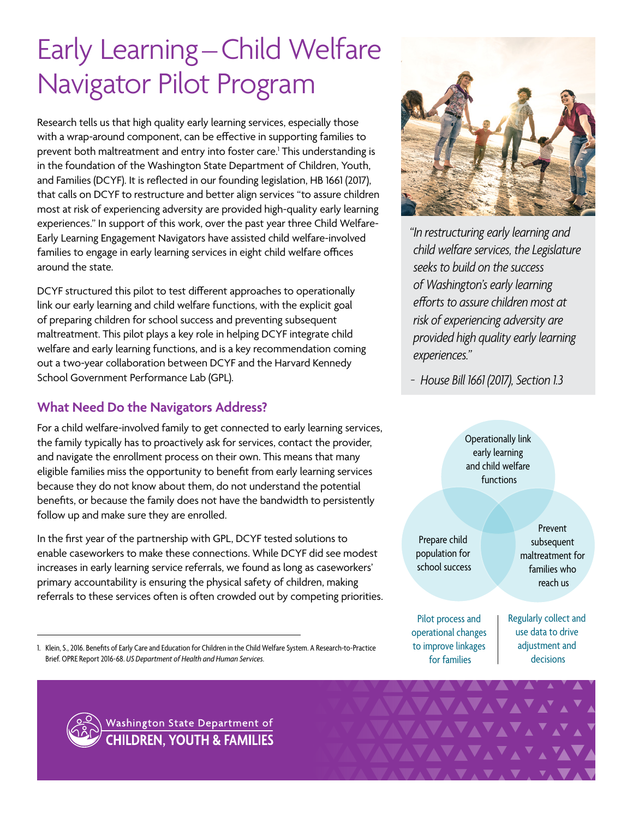# Early Learning–Child Welfare Navigator Pilot Program

Research tells us that high quality early learning services, especially those with a wrap-around component, can be effective in supporting families to prevent both maltreatment and entry into foster care.' This understanding is in the foundation of the Washington State Department of Children, Youth, and Families (DCYF). It is reflected in our founding legislation, HB 1661 (2017), that calls on DCYF to restructure and better align services "to assure children most at risk of experiencing adversity are provided high-quality early learning experiences." In support of this work, over the past year three Child Welfare-Early Learning Engagement Navigators have assisted child welfare-involved families to engage in early learning services in eight child welfare offices around the state.

DCYF structured this pilot to test different approaches to operationally link our early learning and child welfare functions, with the explicit goal of preparing children for school success and preventing subsequent maltreatment. This pilot plays a key role in helping DCYF integrate child welfare and early learning functions, and is a key recommendation coming out a two-year collaboration between DCYF and the Harvard Kennedy School Government Performance Lab (GPL).

## **What Need Do the Navigators Address?**

For a child welfare-involved family to get connected to early learning services, the family typically has to proactively ask for services, contact the provider, and navigate the enrollment process on their own. This means that many eligible families miss the opportunity to benefit from early learning services because they do not know about them, do not understand the potential benefits, or because the family does not have the bandwidth to persistently follow up and make sure they are enrolled.

In the first year of the partnership with GPL, DCYF tested solutions to enable caseworkers to make these connections. While DCYF did see modest increases in early learning service referrals, we found as long as caseworkers' primary accountability is ensuring the physical safety of children, making referrals to these services often is often crowded out by competing priorities.

1. Klein, S., 2016. Benefits of Early Care and Education for Children in the Child Welfare System. A Research-to-Practice Brief. OPRE Report 2016-68. *US Department of Health and Human Services*.



*"In restructuring early learning and child welfare services, the Legislature seeks to build on the success of Washington's early learning efforts to assure children most at risk of experiencing adversity are provided high quality early learning experiences."*

*- House Bill 1661 (2017), Section 1.3*

Operationally link early learning and child welfare functions

Prepare child population for school success

Prevent subsequent maltreatment for families who reach us

Pilot process and operational changes to improve linkages for families

Regularly collect and use data to drive adjustment and decisions



Washington State Department of **CHILDREN, YOUTH & FAMILIES**